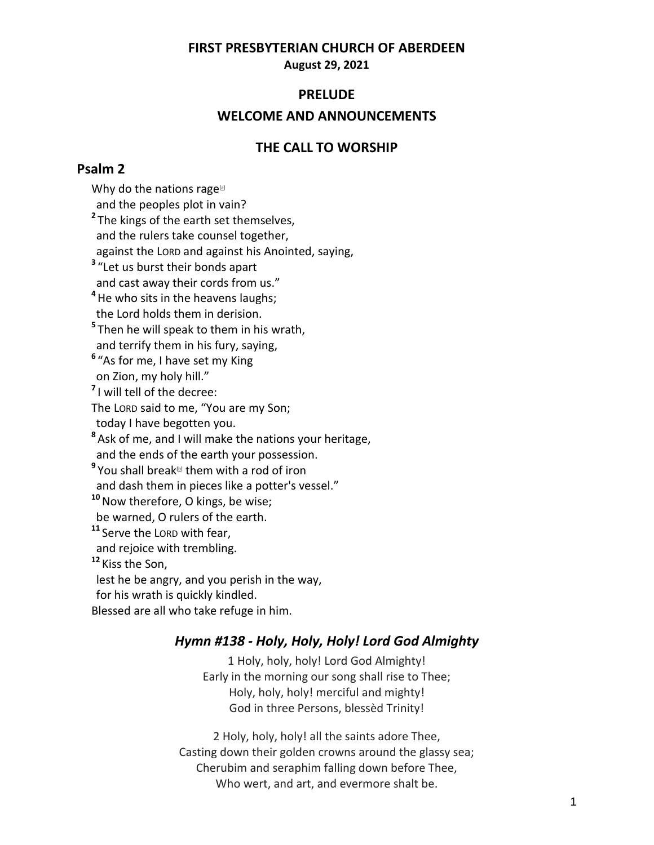## **FIRST PRESBYTERIAN CHURCH OF ABERDEEN**

**August 29, 2021**

### **PRELUDE**

### **WELCOME AND ANNOUNCEMENTS**

## **THE CALL TO WORSHIP**

## **Psalm 2**

Why do the nations rage $[$  and the peoples plot in vain? **2** The kings of the earth set themselves, and the rulers take counsel together, against the LORD and against his Anointed, saying, **3** "Let us burst their bonds apart and cast away their cords from us." **<sup>4</sup>**He who sits in the heavens laughs; the Lord holds them in derision. **5** Then he will speak to them in his wrath, and terrify them in his fury, saying, **6** "As for me, I have set my King on Zion, my holy hill." **7** I will tell of the decree: The LORD said to me, "You are my Son; today I have begotten you. **8** Ask of me, and I will make the nations your heritage, and the ends of the earth your possession. <sup>9</sup> You shall break<sup>⊠</sup> them with a rod of iron and dash them in pieces like a potter's vessel." **<sup>10</sup>**Now therefore, O kings, be wise; be warned, O rulers of the earth. **<sup>11</sup>** Serve the LORD with fear, and rejoice with trembling. **<sup>12</sup>** Kiss the Son, lest he be angry, and you perish in the way, for his wrath is quickly kindled. Blessed are all who take refuge in him.

## *Hymn #138 - Holy, Holy, Holy! Lord God Almighty*

1 Holy, holy, holy! Lord God Almighty! Early in the morning our song shall rise to Thee; Holy, holy, holy! merciful and mighty! God in three Persons, blessèd Trinity!

2 Holy, holy, holy! all the saints adore Thee, Casting down their golden crowns around the glassy sea; Cherubim and seraphim falling down before Thee, Who wert, and art, and evermore shalt be.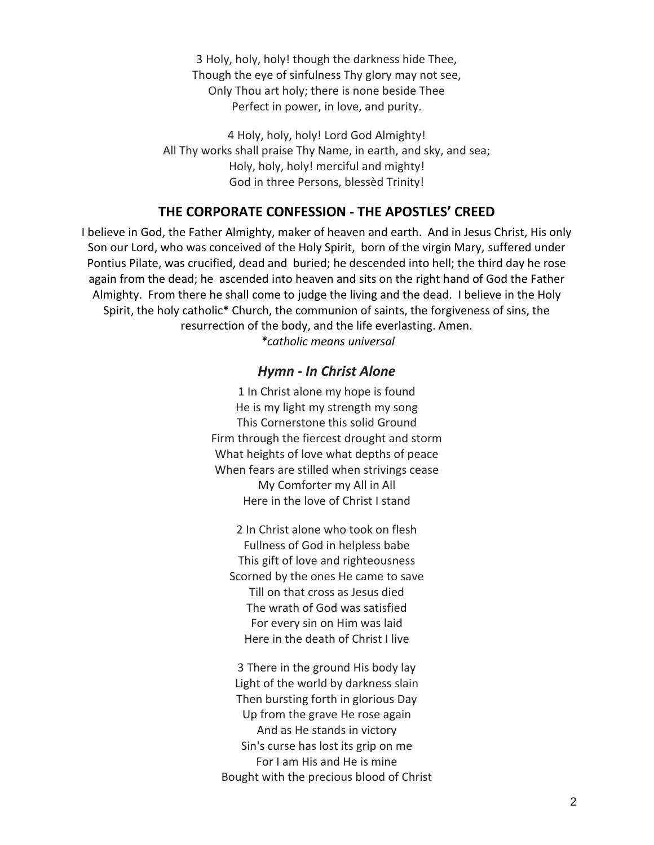3 Holy, holy, holy! though the darkness hide Thee, Though the eye of sinfulness Thy glory may not see, Only Thou art holy; there is none beside Thee Perfect in power, in love, and purity.

4 Holy, holy, holy! Lord God Almighty! All Thy works shall praise Thy Name, in earth, and sky, and sea; Holy, holy, holy! merciful and mighty! God in three Persons, blessèd Trinity!

## **THE CORPORATE CONFESSION - THE APOSTLES' CREED**

I believe in God, the Father Almighty, maker of heaven and earth. And in Jesus Christ, His only Son our Lord, who was conceived of the Holy Spirit, born of the virgin Mary, suffered under Pontius Pilate, was crucified, dead and buried; he descended into hell; the third day he rose again from the dead; he ascended into heaven and sits on the right hand of God the Father Almighty. From there he shall come to judge the living and the dead. I believe in the Holy Spirit, the holy catholic\* Church, the communion of saints, the forgiveness of sins, the resurrection of the body, and the life everlasting. Amen.

*\*catholic means universal*

### *Hymn - In Christ Alone*

1 In Christ alone my hope is found He is my light my strength my song This Cornerstone this solid Ground Firm through the fiercest drought and storm What heights of love what depths of peace When fears are stilled when strivings cease My Comforter my All in All Here in the love of Christ I stand

2 In Christ alone who took on flesh Fullness of God in helpless babe This gift of love and righteousness Scorned by the ones He came to save Till on that cross as Jesus died The wrath of God was satisfied For every sin on Him was laid Here in the death of Christ I live

3 There in the ground His body lay Light of the world by darkness slain Then bursting forth in glorious Day Up from the grave He rose again And as He stands in victory Sin's curse has lost its grip on me For I am His and He is mine Bought with the precious blood of Christ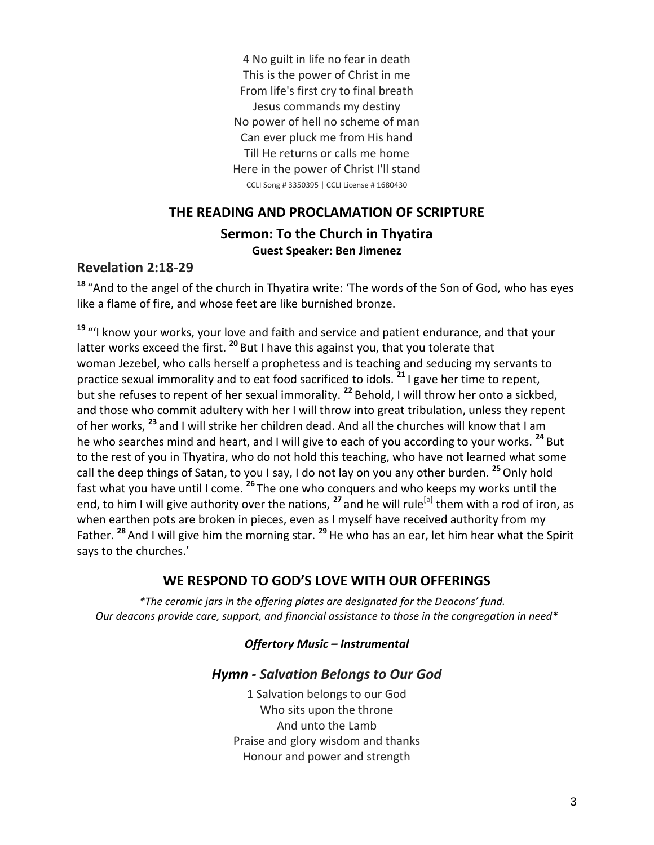4 No guilt in life no fear in death This is the power of Christ in me From life's first cry to final breath Jesus commands my destiny No power of hell no scheme of man Can ever pluck me from His hand Till He returns or calls me home Here in the power of Christ I'll stand CCLI Song # 3350395 | CCLI License # 1680430

# **THE READING AND PROCLAMATION OF SCRIPTURE Sermon: To the Church in Thyatira Guest Speaker: Ben Jimenez**

# **Revelation 2:18-29**

**<sup>18</sup>** "And to the angel of the church in Thyatira write: 'The words of the Son of God, who has eyes like a flame of fire, and whose feet are like burnished bronze.

**<sup>19</sup>** "'I know your works, your love and faith and service and patient endurance, and that your latter works exceed the first. **<sup>20</sup>** But I have this against you, that you tolerate that woman Jezebel, who calls herself a prophetess and is teaching and seducing my servants to practice sexual immorality and to eat food sacrificed to idols. **<sup>21</sup>** I gave her time to repent, but she refuses to repent of her sexual immorality. **<sup>22</sup>** Behold, I will throw her onto a sickbed, and those who commit adultery with her I will throw into great tribulation, unless they repent of her works, **<sup>23</sup>** and I will strike her children dead. And all the churches will know that I am he who searches mind and heart, and I will give to each of you according to your works. **<sup>24</sup>** But to the rest of you in Thyatira, who do not hold this teaching, who have not learned what some call the deep things of Satan, to you I say, I do not lay on you any other burden. **<sup>25</sup>**Only hold fast what you have until I come. **<sup>26</sup>** The one who conquers and who keeps my works until the end, to him I will give authority over the nations, <sup>27</sup> and he will rule<sup>[\[a\]](https://www.biblegateway.com/passage/?search=Revelation+2%3A18-29&version=ESV#fen-ESV-30729a)</sup> them with a rod of iron, as when earthen pots are broken in pieces, even as I myself have received authority from my Father. **<sup>28</sup>** And I will give him the morning star. **<sup>29</sup>**He who has an ear, let him hear what the Spirit says to the churches.'

# **WE RESPOND TO GOD'S LOVE WITH OUR OFFERINGS**

*\*The ceramic jars in the offering plates are designated for the Deacons' fund. Our deacons provide care, support, and financial assistance to those in the congregation in need\**

# *Offertory Music – Instrumental*

# *Hymn - Salvation Belongs to Our God*

1 Salvation belongs to our God Who sits upon the throne And unto the Lamb Praise and glory wisdom and thanks Honour and power and strength